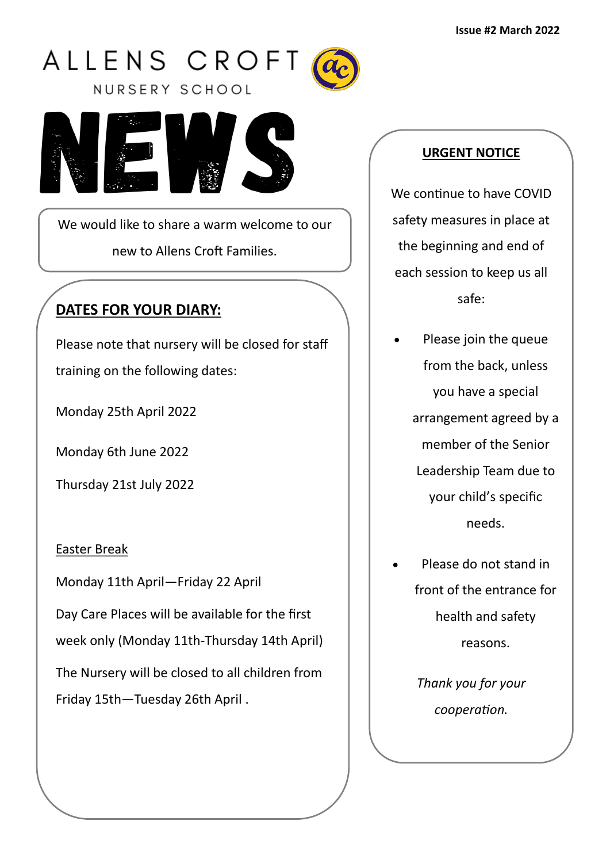



We would like to share a warm welcome to our new to Allens Croft Families.

# **DATES FOR YOUR DIARY:**

Please note that nursery will be closed for staff

training on the following dates:

Monday 25th April 2022

Monday 6th June 2022

Thursday 21st July 2022

## Easter Break

Monday 11th April—Friday 22 April

Day Care Places will be available for the first

week only (Monday 11th-Thursday 14th April)

The Nursery will be closed to all children from Friday 15th—Tuesday 26th April .

## **URGENT NOTICE**

We continue to have COVID safety measures in place at the beginning and end of each session to keep us all safe:

- Please join the queue from the back, unless you have a special arrangement agreed by a member of the Senior Leadership Team due to your child's specific needs.
- Please do not stand in front of the entrance for health and safety reasons.

*Thank you for your cooperation.*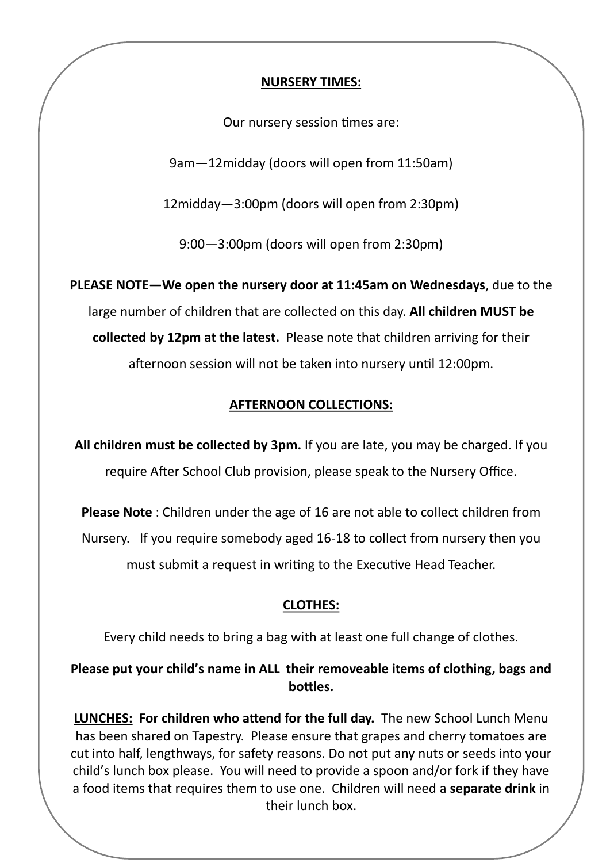#### **NURSERY TIMES:**

Our nursery session times are:

9am—12midday (doors will open from 11:50am)

12midday—3:00pm (doors will open from 2:30pm)

9:00—3:00pm (doors will open from 2:30pm)

**PLEASE NOTE—We open the nursery door at 11:45am on Wednesdays**, due to the large number of children that are collected on this day. **All children MUST be collected by 12pm at the latest.** Please note that children arriving for their afternoon session will not be taken into nursery until 12:00pm.

## **AFTERNOON COLLECTIONS:**

**All children must be collected by 3pm.** If you are late, you may be charged. If you require After School Club provision, please speak to the Nursery Office.

**Please Note** : Children under the age of 16 are not able to collect children from Nursery. If you require somebody aged 16-18 to collect from nursery then you must submit a request in writing to the Executive Head Teacher.

#### **CLOTHES:**

Every child needs to bring a bag with at least one full change of clothes.

**Please put your child's name in ALL their removeable items of clothing, bags and bottles.** 

**LUNCHES: For children who attend for the full day.** The new School Lunch Menu has been shared on Tapestry. Please ensure that grapes and cherry tomatoes are cut into half, lengthways, for safety reasons. Do not put any nuts or seeds into your child's lunch box please. You will need to provide a spoon and/or fork if they have a food items that requires them to use one. Children will need a **separate drink** in their lunch box.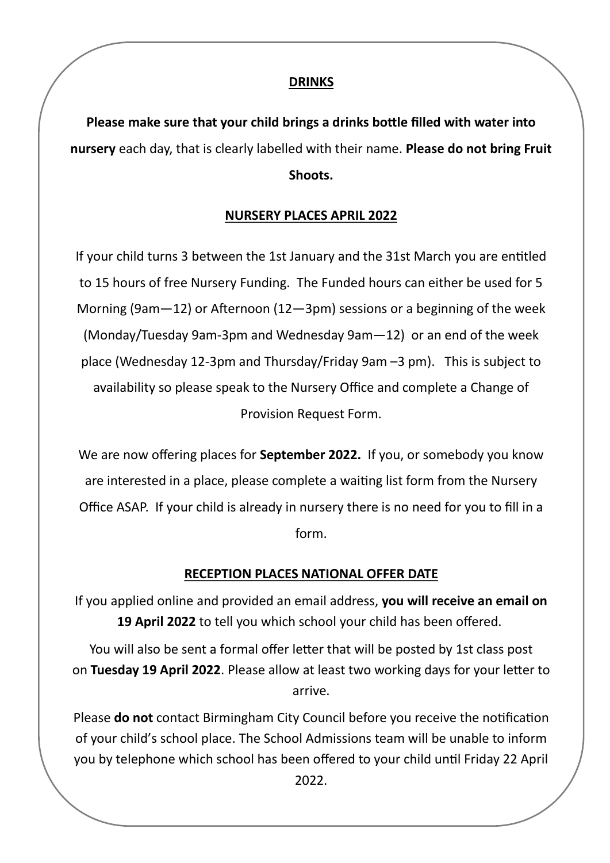#### **DRINKS**

**Please make sure that your child brings a drinks bottle filled with water into nursery** each day, that is clearly labelled with their name. **Please do not bring Fruit Shoots.** 

## **NURSERY PLACES APRIL 2022**

If your child turns 3 between the 1st January and the 31st March you are entitled to 15 hours of free Nursery Funding. The Funded hours can either be used for 5 Morning (9am—12) or Afternoon (12—3pm) sessions or a beginning of the week (Monday/Tuesday 9am-3pm and Wednesday 9am—12) or an end of the week place (Wednesday 12-3pm and Thursday/Friday 9am –3 pm). This is subject to availability so please speak to the Nursery Office and complete a Change of Provision Request Form.

We are now offering places for **September 2022.** If you, or somebody you know are interested in a place, please complete a waiting list form from the Nursery Office ASAP. If your child is already in nursery there is no need for you to fill in a form.

## **RECEPTION PLACES NATIONAL OFFER DATE**

If you applied online and provided an email address, **you will receive an email on 19 April 2022** to tell you which school your child has been offered.

You will also be sent a formal offer letter that will be posted by 1st class post on **Tuesday 19 April 2022**. Please allow at least two working days for your letter to arrive.

Please **do not** contact Birmingham City Council before you receive the notification of your child's school place. The School Admissions team will be unable to inform you by telephone which school has been offered to your child until Friday 22 April

2022.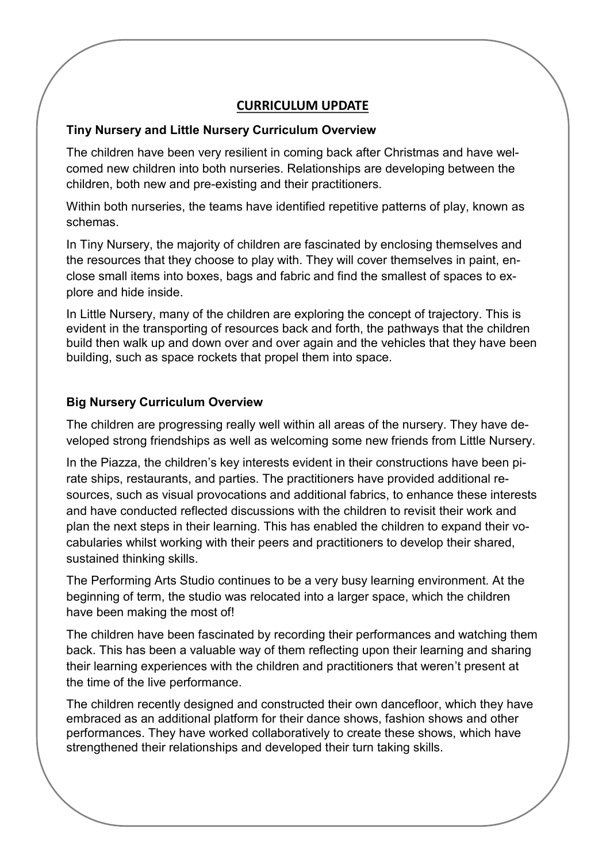#### **CURRICULUM UPDATE**

#### **Tiny Nursery and Little Nursery Curriculum Overview**

The children have been very resilient in coming back after Christmas and have welcomed new children into both nurseries. Relationships are developing between the children, both new and pre-existing and their practitioners.

Within both nurseries, the teams have identified repetitive patterns of play, known as schemas.

In Tiny Nursery, the majority of children are fascinated by enclosing themselves and the resources that they choose to play with. They will cover themselves in paint, enclose small items into boxes, bags and fabric and find the smallest of spaces to explore and hide inside.

In Little Nursery, many of the children are exploring the concept of trajectory. This is evident in the transporting of resources back and forth, the pathways that the children build then walk up and down over and over again and the vehicles that they have been building, such as space rockets that propel them into space.

#### **Big Nursery Curriculum Overview**

The children are progressing really well within all areas of the nursery. They have developed strong friendships as well as welcoming some new friends from Little Nursery.

In the Piazza, the children's key interests evident in their constructions have been pirate ships, restaurants, and parties. The practitioners have provided additional resources, such as visual provocations and additional fabrics, to enhance these interests and have conducted reflected discussions with the children to revisit their work and plan the next steps in their learning. This has enabled the children to expand their vocabularies whilst working with their peers and practitioners to develop their shared, sustained thinking skills.

The Performing Arts Studio continues to be a very busy learning environment. At the beginning of term, the studio was relocated into a larger space, which the children have been making the most of!

The children have been fascinated by recording their performances and watching them back. This has been a valuable way of them reflecting upon their learning and sharing their learning experiences with the children and practitioners that weren't present at the time of the live performance.

The children recently designed and constructed their own dancefloor, which they have embraced as an additional platform for their dance shows, fashion shows and other performances. They have worked collaboratively to create these shows, which have strengthened their relationships and developed their turn taking skills.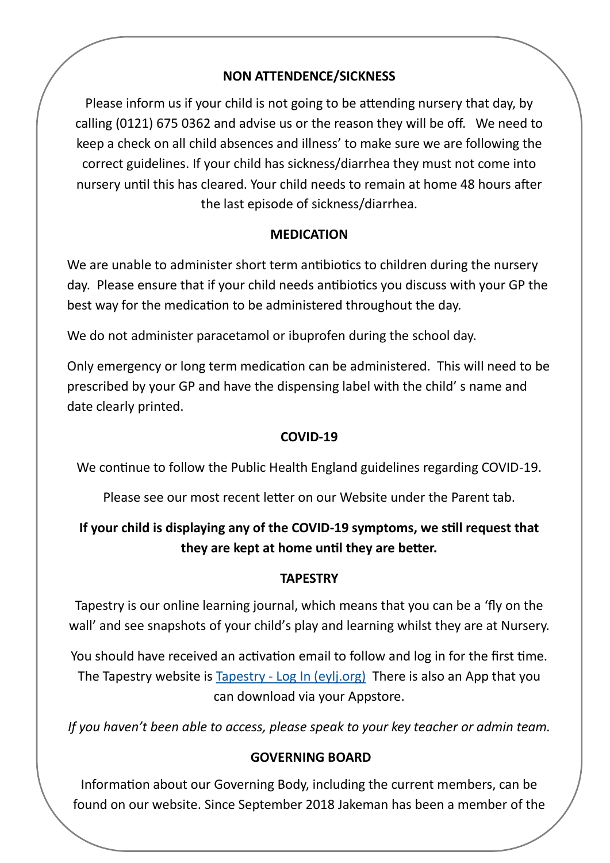## **NON ATTENDENCE/SICKNESS**

Please inform us if your child is not going to be attending nursery that day, by calling (0121) 675 0362 and advise us or the reason they will be off. We need to keep a check on all child absences and illness' to make sure we are following the correct guidelines. If your child has sickness/diarrhea they must not come into nursery until this has cleared. Your child needs to remain at home 48 hours after the last episode of sickness/diarrhea.

## **MEDICATION**

We are unable to administer short term antibiotics to children during the nursery day. Please ensure that if your child needs antibiotics you discuss with your GP the best way for the medication to be administered throughout the day.

We do not administer paracetamol or ibuprofen during the school day.

Only emergency or long term medication can be administered. This will need to be prescribed by your GP and have the dispensing label with the child' s name and date clearly printed.

## **COVID-19**

We continue to follow the Public Health England guidelines regarding COVID-19.

Please see our most recent letter on our Website under the Parent tab.

# **If your child is displaying any of the COVID-19 symptoms, we still request that they are kept at home until they are better.**

## **TAPESTRY**

Tapestry is our online learning journal, which means that you can be a 'fly on the wall' and see snapshots of your child's play and learning whilst they are at Nursery.

You should have received an activation email to follow and log in for the first time. The Tapestry website is Tapestry - [Log In \(eylj.org\)](https://eylj.org/) There is also an App that you can download via your Appstore.

*If you haven't been able to access, please speak to your key teacher or admin team.*

## **GOVERNING BOARD**

Information about our Governing Body, including the current members, can be found on our website. Since September 2018 Jakeman has been a member of the